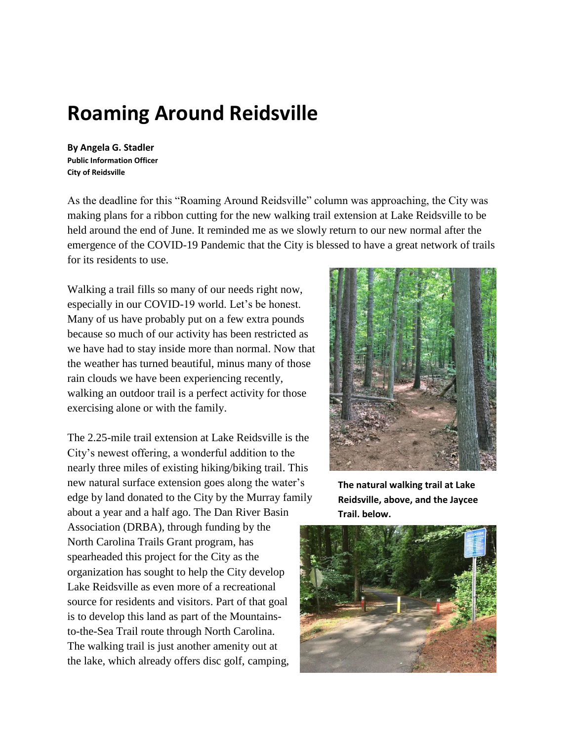## **Roaming Around Reidsville**

**By Angela G. Stadler Public Information Officer City of Reidsville**

As the deadline for this "Roaming Around Reidsville" column was approaching, the City was making plans for a ribbon cutting for the new walking trail extension at Lake Reidsville to be held around the end of June. It reminded me as we slowly return to our new normal after the emergence of the COVID-19 Pandemic that the City is blessed to have a great network of trails for its residents to use.

Walking a trail fills so many of our needs right now, especially in our COVID-19 world. Let's be honest. Many of us have probably put on a few extra pounds because so much of our activity has been restricted as we have had to stay inside more than normal. Now that the weather has turned beautiful, minus many of those rain clouds we have been experiencing recently, walking an outdoor trail is a perfect activity for those exercising alone or with the family.

The 2.25-mile trail extension at Lake Reidsville is the City's newest offering, a wonderful addition to the nearly three miles of existing hiking/biking trail. This new natural surface extension goes along the water's edge by land donated to the City by the Murray family about a year and a half ago. The Dan River Basin Association (DRBA), through funding by the North Carolina Trails Grant program, has spearheaded this project for the City as the organization has sought to help the City develop Lake Reidsville as even more of a recreational source for residents and visitors. Part of that goal is to develop this land as part of the Mountainsto-the-Sea Trail route through North Carolina. The walking trail is just another amenity out at the lake, which already offers disc golf, camping,



**The natural walking trail at Lake Reidsville, above, and the Jaycee Trail, below.**

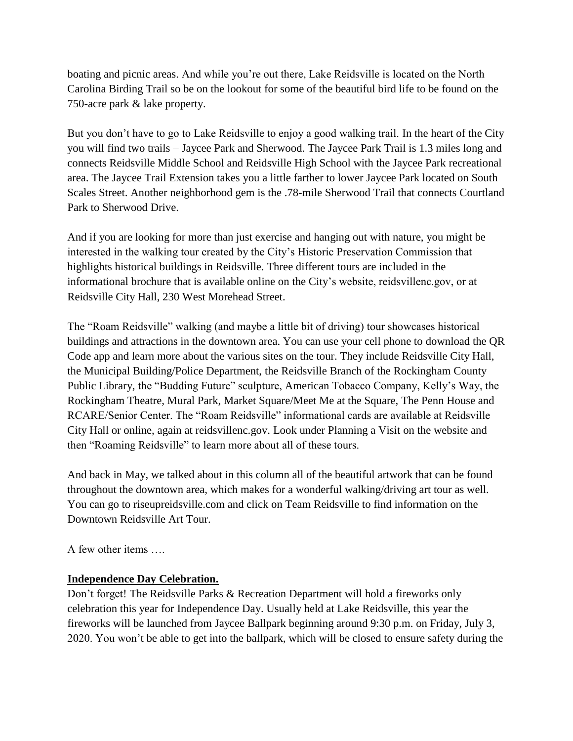boating and picnic areas. And while you're out there, Lake Reidsville is located on the North Carolina Birding Trail so be on the lookout for some of the beautiful bird life to be found on the 750-acre park & lake property.

But you don't have to go to Lake Reidsville to enjoy a good walking trail. In the heart of the City you will find two trails – Jaycee Park and Sherwood. The Jaycee Park Trail is 1.3 miles long and connects Reidsville Middle School and Reidsville High School with the Jaycee Park recreational area. The Jaycee Trail Extension takes you a little farther to lower Jaycee Park located on South Scales Street. Another neighborhood gem is the .78-mile Sherwood Trail that connects Courtland Park to Sherwood Drive.

And if you are looking for more than just exercise and hanging out with nature, you might be interested in the walking tour created by the City's Historic Preservation Commission that highlights historical buildings in Reidsville. Three different tours are included in the informational brochure that is available online on the City's website, reidsvillenc.gov, or at Reidsville City Hall, 230 West Morehead Street.

The "Roam Reidsville" walking (and maybe a little bit of driving) tour showcases historical buildings and attractions in the downtown area. You can use your cell phone to download the QR Code app and learn more about the various sites on the tour. They include Reidsville City Hall, the Municipal Building/Police Department, the Reidsville Branch of the Rockingham County Public Library, the "Budding Future" sculpture, American Tobacco Company, Kelly's Way, the Rockingham Theatre, Mural Park, Market Square/Meet Me at the Square, The Penn House and RCARE/Senior Center. The "Roam Reidsville" informational cards are available at Reidsville City Hall or online, again at reidsvillenc.gov. Look under Planning a Visit on the website and then "Roaming Reidsville" to learn more about all of these tours.

And back in May, we talked about in this column all of the beautiful artwork that can be found throughout the downtown area, which makes for a wonderful walking/driving art tour as well. You can go to riseupreidsville.com and click on Team Reidsville to find information on the Downtown Reidsville Art Tour.

A few other items ….

## **Independence Day Celebration.**

Don't forget! The Reidsville Parks & Recreation Department will hold a fireworks only celebration this year for Independence Day. Usually held at Lake Reidsville, this year the fireworks will be launched from Jaycee Ballpark beginning around 9:30 p.m. on Friday, July 3, 2020. You won't be able to get into the ballpark, which will be closed to ensure safety during the